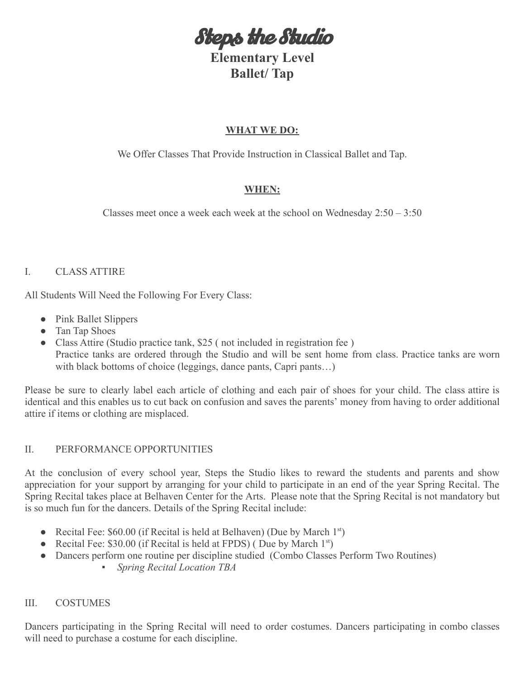Steps the Studio

**Elementary Level Ballet/ Tap**

## **WHAT WE DO:**

We Offer Classes That Provide Instruction in Classical Ballet and Tap.

# **WHEN:**

Classes meet once a week each week at the school on Wednesday 2:50 – 3:50

## I. CLASS ATTIRE

All Students Will Need the Following For Every Class:

- Pink Ballet Slippers
- Tan Tap Shoes
- Class Attire (Studio practice tank, \$25 (not included in registration fee) Practice tanks are ordered through the Studio and will be sent home from class. Practice tanks are worn with black bottoms of choice (leggings, dance pants, Capri pants...)

Please be sure to clearly label each article of clothing and each pair of shoes for your child. The class attire is identical and this enables us to cut back on confusion and saves the parents' money from having to order additional attire if items or clothing are misplaced.

## II. PERFORMANCE OPPORTUNITIES

At the conclusion of every school year, Steps the Studio likes to reward the students and parents and show appreciation for your support by arranging for your child to participate in an end of the year Spring Recital. The Spring Recital takes place at Belhaven Center for the Arts. Please note that the Spring Recital is not mandatory but is so much fun for the dancers. Details of the Spring Recital include:

- Recital Fee:  $$60.00$  (if Recital is held at Belhaven) (Due by March 1<sup>st</sup>)
- Recital Fee: \$30.00 (if Recital is held at FPDS) (Due by March  $1^{st}$ )
- *●* Dancers perform one routine per discipline studied (Combo Classes Perform Two Routines)
	- *Spring Recital Location TBA*

## III. COSTUMES

Dancers participating in the Spring Recital will need to order costumes. Dancers participating in combo classes will need to purchase a costume for each discipline.